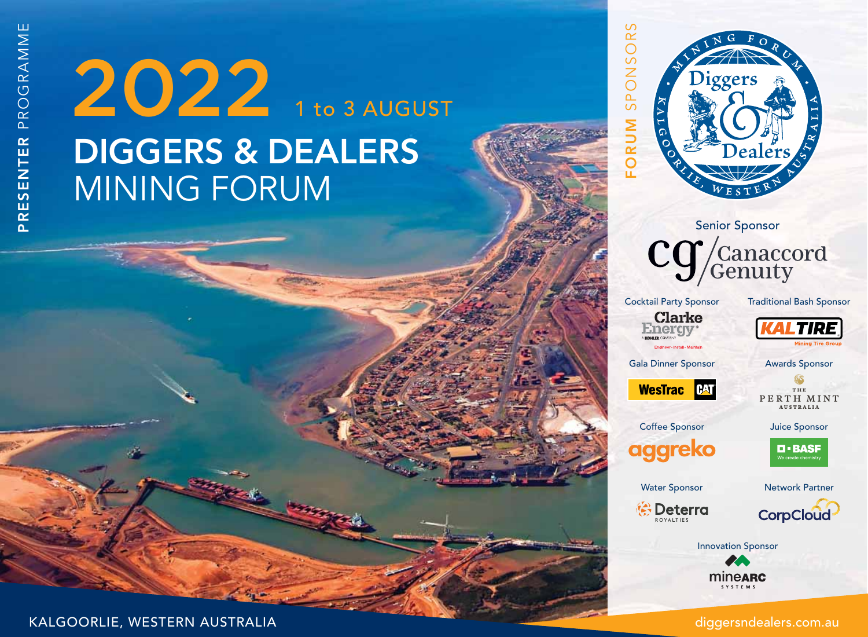# **DIGGERS & DEALERS** MINING FORUM 2022 1 to 3 AUGUST





Cocktail Party Sponsor **Clarke** 

Traditional Bash Sponsor



**TIRE** 

Gala Dinner Sponsor





THE PERTH MINT AUSTRALIA

Awards Sponsor

Juice Sponsor



Water Sponsor

Coffee Sponsor

aggreko

Network Partner



**CorpCloud** 

Innovation Sponsor

mineARC **SYSTEMS** 

KALGOORLIE, WESTERN AUSTRALIA

diggersndealers.com.au